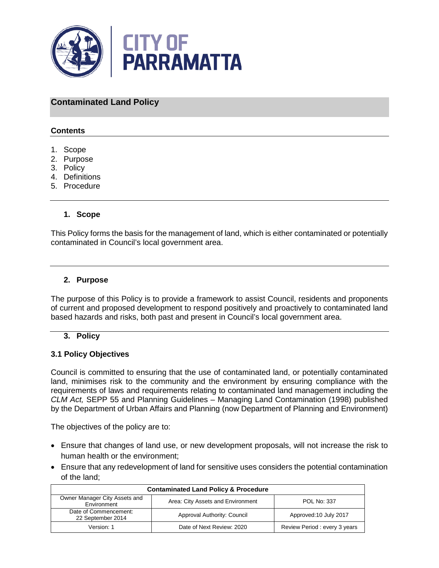

## **Contaminated Land Policy**

## **Contents**

- 1. Scope
- 2. Purpose
- 3. Policy
- 4. Definitions
- 5. Procedure

## **1. Scope**

This Policy forms the basis for the management of land, which is either contaminated or potentially contaminated in Council's local government area.

## **2. Purpose**

The purpose of this Policy is to provide a framework to assist Council, residents and proponents of current and proposed development to respond positively and proactively to contaminated land based hazards and risks, both past and present in Council's local government area.

#### **3. Policy**

#### **3.1 Policy Objectives**

Council is committed to ensuring that the use of contaminated land, or potentially contaminated land, minimises risk to the community and the environment by ensuring compliance with the requirements of laws and requirements relating to contaminated land management including the *CLM Act,* SEPP 55 and Planning Guidelines – Managing Land Contamination (1998) published by the Department of Urban Affairs and Planning (now Department of Planning and Environment)

The objectives of the policy are to:

- Ensure that changes of land use, or new development proposals, will not increase the risk to human health or the environment;
- Ensure that any redevelopment of land for sensitive uses considers the potential contamination of the land;

| <b>Contaminated Land Policy &amp; Procedure</b> |                                   |                              |  |
|-------------------------------------------------|-----------------------------------|------------------------------|--|
| Owner Manager City Assets and<br>Environment    | Area: City Assets and Environment | <b>POL No: 337</b>           |  |
| Date of Commencement:<br>22 September 2014      | Approval Authority: Council       | Approved: 10 July 2017       |  |
| Version: 1                                      | Date of Next Review: 2020         | Review Period: every 3 years |  |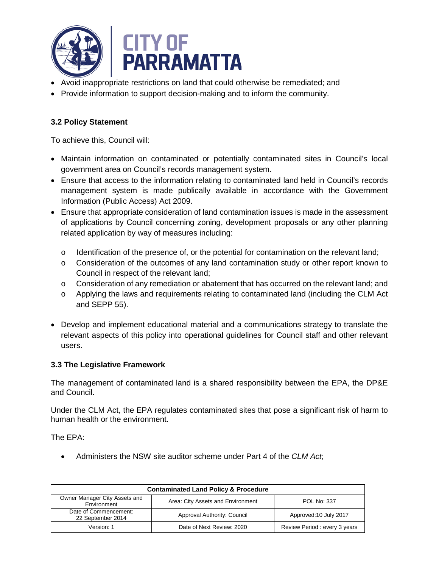

- Avoid inappropriate restrictions on land that could otherwise be remediated; and
- Provide information to support decision-making and to inform the community.

## **3.2 Policy Statement**

To achieve this, Council will:

- Maintain information on contaminated or potentially contaminated sites in Council's local government area on Council's records management system.
- Ensure that access to the information relating to contaminated land held in Council's records management system is made publically available in accordance with the Government Information (Public Access) Act 2009.
- Ensure that appropriate consideration of land contamination issues is made in the assessment of applications by Council concerning zoning, development proposals or any other planning related application by way of measures including:
	- o Identification of the presence of, or the potential for contamination on the relevant land;
	- $\circ$  Consideration of the outcomes of any land contamination study or other report known to Council in respect of the relevant land;
	- o Consideration of any remediation or abatement that has occurred on the relevant land; and
	- o Applying the laws and requirements relating to contaminated land (including the CLM Act and SEPP 55).
- Develop and implement educational material and a communications strategy to translate the relevant aspects of this policy into operational guidelines for Council staff and other relevant users.

## **3.3 The Legislative Framework**

The management of contaminated land is a shared responsibility between the EPA, the DP&E and Council.

Under the CLM Act, the EPA regulates contaminated sites that pose a significant risk of harm to human health or the environment.

The EPA:

• Administers the NSW site auditor scheme under Part 4 of the *CLM Act*;

| <b>Contaminated Land Policy &amp; Procedure</b> |                                   |                              |  |
|-------------------------------------------------|-----------------------------------|------------------------------|--|
| Owner Manager City Assets and<br>Environment    | Area: City Assets and Environment | POL No: 337                  |  |
| Date of Commencement:<br>22 September 2014      | Approval Authority: Council       | Approved: 10 July 2017       |  |
| Version: 1                                      | Date of Next Review: 2020         | Review Period: every 3 years |  |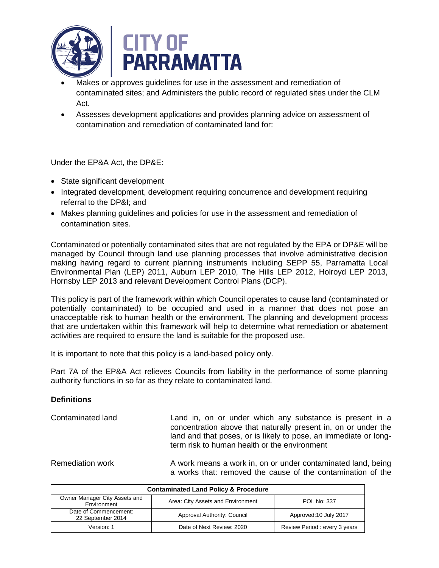

- Makes or approves guidelines for use in the assessment and remediation of contaminated sites; and Administers the public record of regulated sites under the CLM Act.
- Assesses development applications and provides planning advice on assessment of contamination and remediation of contaminated land for:

Under the EP&A Act, the DP&E:

- State significant development
- Integrated development, development requiring concurrence and development requiring referral to the DP&I; and
- Makes planning guidelines and policies for use in the assessment and remediation of contamination sites.

Contaminated or potentially contaminated sites that are not regulated by the EPA or DP&E will be managed by Council through land use planning processes that involve administrative decision making having regard to current planning instruments including SEPP 55, Parramatta Local Environmental Plan (LEP) 2011, Auburn LEP 2010, The Hills LEP 2012, Holroyd LEP 2013, Hornsby LEP 2013 and relevant Development Control Plans (DCP).

This policy is part of the framework within which Council operates to cause land (contaminated or potentially contaminated) to be occupied and used in a manner that does not pose an unacceptable risk to human health or the environment. The planning and development process that are undertaken within this framework will help to determine what remediation or abatement activities are required to ensure the land is suitable for the proposed use.

It is important to note that this policy is a land-based policy only.

Part 7A of the EP&A Act relieves Councils from liability in the performance of some planning authority functions in so far as they relate to contaminated land.

## **Definitions**

Contaminated land Land in, on or under which any substance is present in a concentration above that naturally present in, on or under the land and that poses, or is likely to pose, an immediate or longterm risk to human health or the environment

Remediation work **A** work means a work in, on or under contaminated land, being a works that: removed the cause of the contamination of the

| <b>Contaminated Land Policy &amp; Procedure</b> |                                   |                              |  |
|-------------------------------------------------|-----------------------------------|------------------------------|--|
| Owner Manager City Assets and<br>Environment    | Area: City Assets and Environment | POL No: 337                  |  |
| Date of Commencement:<br>22 September 2014      | Approval Authority: Council       | Approved: 10 July 2017       |  |
| Version: 1                                      | Date of Next Review: 2020         | Review Period: every 3 years |  |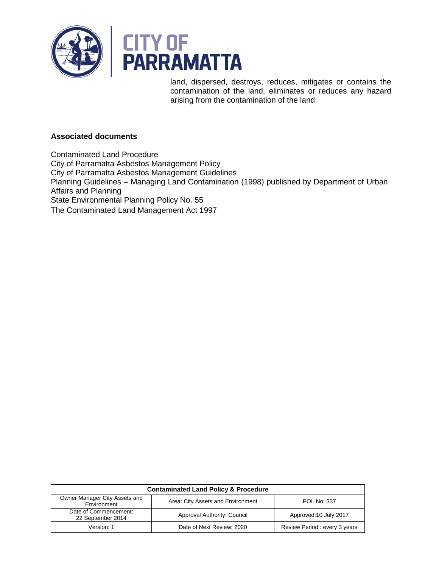

land, dispersed, destroys, reduces, mitigates or contains the contamination of the land, eliminates or reduces any hazard arising from the contamination of the land

## **Associated documents**

Contaminated Land Procedure City of Parramatta Asbestos Management Policy City of Parramatta Asbestos Management Guidelines Planning Guidelines – Managing Land Contamination (1998) published by Department of Urban Affairs and Planning State Environmental Planning Policy No. 55 The Contaminated Land Management Act 1997

| <b>Contaminated Land Policy &amp; Procedure</b> |                                   |                              |  |
|-------------------------------------------------|-----------------------------------|------------------------------|--|
| Owner Manager City Assets and<br>Environment    | Area: City Assets and Environment | <b>POL No: 337</b>           |  |
| Date of Commencement:<br>22 September 2014      | Approval Authority: Council       | Approved: 10 July 2017       |  |
| Version: 1                                      | Date of Next Review: 2020         | Review Period: every 3 years |  |